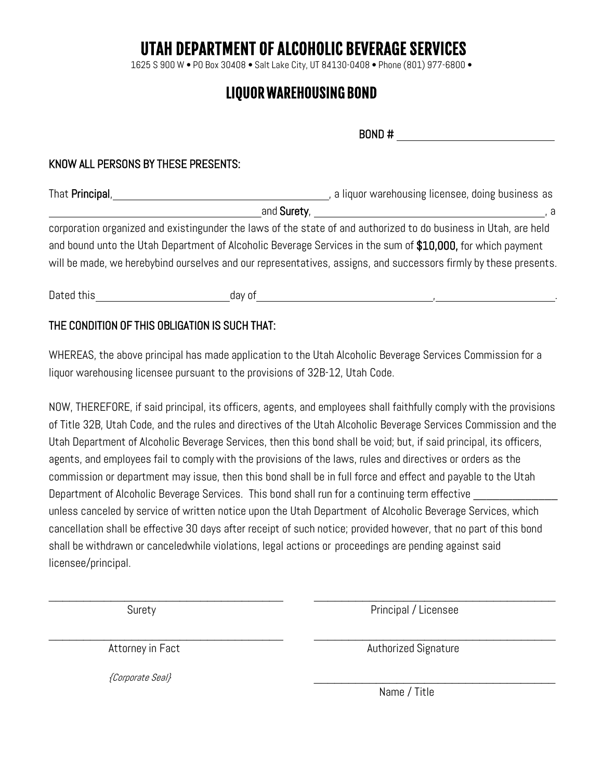# UTAH DEPARTMENT OF ALCOHOLIC BEVERAGE SERVICES

1625 S 900 W • PO Box 30408 • Salt Lake City, UT 84130-0408 • Phone (801) 977-6800 •

## LIQUOR WAREHOUSING BOND

BOND #

#### KNOW ALL PERSONS BY THESE PRESENTS:

| , a liquor warehousing licensee, doing business as                                                               |
|------------------------------------------------------------------------------------------------------------------|
| a                                                                                                                |
| corporation organized and existingunder the laws of the state of and authorized to do business in Utah, are held |
| and bound unto the Utah Department of Alcoholic Beverage Services in the sum of \$10,000, for which payment      |
| will be made, we herebybind ourselves and our representatives, assigns, and successors firmly by these presents. |
|                                                                                                                  |

Dated this and a state of the day of the state of the state of the state of the state of the state of the state of the state of the state of the state of the state of the state of the state of the state of the state of the

#### THE CONDITION OF THIS OBLIGATION IS SUCH THAT:

WHEREAS, the above principal has made application to the Utah Alcoholic Beverage Services Commission for a liquor warehousing licensee pursuant to the provisions of 32B-12, Utah Code.

NOW, THEREFORE, if said principal, its officers, agents, and employees shall faithfully comply with the provisions of Title 32B, Utah Code, and the rules and directives of the Utah Alcoholic Beverage Services Commission and the Utah Department of Alcoholic Beverage Services, then this bond shall be void; but, if said principal, its officers, agents, and employees fail to comply with the provisions of the laws, rules and directives or orders as the commission or department may issue, then this bond shall be in full force and effect and payable to the Utah Department of Alcoholic Beverage Services. This bond shall run for a continuing term effective unless canceled by service of written notice upon the Utah Department of Alcoholic Beverage Services, which cancellation shall be effective 30 days after receipt of such notice; provided however, that no part of this bond shall be withdrawn or canceledwhile violations, legal actions or proceedings are pending against said licensee/principal.

 $\overline{\phantom{a}}$  , and the contribution of the contribution of the contribution of the contribution of the contribution of the contribution of the contribution of the contribution of the contribution of the contribution of the

Surety **Principal / Licensee** 

 $\_$ 

{Corporate Seal} \_\_\_\_\_\_\_\_\_\_\_\_\_\_\_\_\_\_\_\_\_\_\_\_\_\_\_\_\_\_\_\_\_\_\_

Attorney in Fact **Authorized Signature** Authorized Signature

Name / Title